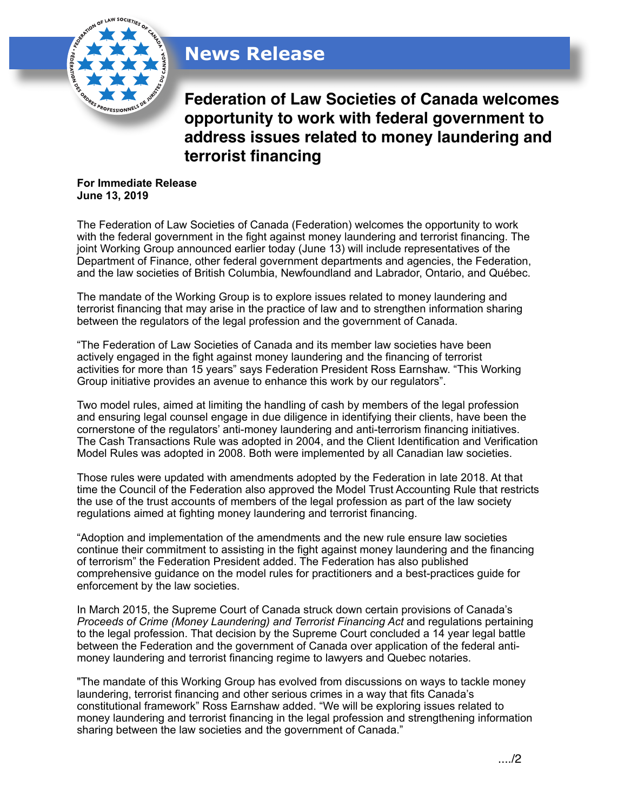## **News Release**



**Federation of Law Societies of Canada welcomes opportunity to work with federal government to address issues related to money laundering and terrorist financing**

**For Immediate Release June 13, 2019**

The Federation of Law Societies of Canada (Federation) welcomes the opportunity to work with the federal government in the fight against money laundering and terrorist financing. The joint Working Group announced earlier today (June 13) will include representatives of the Department of Finance, other federal government departments and agencies, the Federation, and the law societies of British Columbia, Newfoundland and Labrador, Ontario, and Québec.

The mandate of the Working Group is to explore issues related to money laundering and terrorist financing that may arise in the practice of law and to strengthen information sharing between the regulators of the legal profession and the government of Canada.

"The Federation of Law Societies of Canada and its member law societies have been actively engaged in the fight against money laundering and the financing of terrorist activities for more than 15 years" says Federation President Ross Earnshaw. "This Working Group initiative provides an avenue to enhance this work by our regulators".

Two model rules, aimed at limiting the handling of cash by members of the legal profession and ensuring legal counsel engage in due diligence in identifying their clients, have been the cornerstone of the regulators' anti-money laundering and anti-terrorism financing initiatives. The Cash Transactions Rule was adopted in 2004, and the Client Identification and Verification Model Rules was adopted in 2008. Both were implemented by all Canadian law societies.

Those rules were updated with amendments adopted by the Federation in late 2018. At that time the Council of the Federation also approved the Model Trust Accounting Rule that restricts the use of the trust accounts of members of the legal profession as part of the law society regulations aimed at fighting money laundering and terrorist financing.

"Adoption and implementation of the amendments and the new rule ensure law societies continue their commitment to assisting in the fight against money laundering and the financing of terrorism" the Federation President added. The Federation has also published comprehensive guidance on the model rules for practitioners and a best-practices guide for enforcement by the law societies.

In March 2015, the Supreme Court of Canada struck down certain provisions of Canada's *Proceeds of Crime (Money Laundering) and Terrorist Financing Act* and regulations pertaining to the legal profession. That decision by the Supreme Court concluded a 14 year legal battle between the Federation and the government of Canada over application of the federal antimoney laundering and terrorist financing regime to lawyers and Quebec notaries.

"The mandate of this Working Group has evolved from discussions on ways to tackle money laundering, terrorist financing and other serious crimes in a way that fits Canada's constitutional framework" Ross Earnshaw added. "We will be exploring issues related to money laundering and terrorist financing in the legal profession and strengthening information sharing between the law societies and the government of Canada."